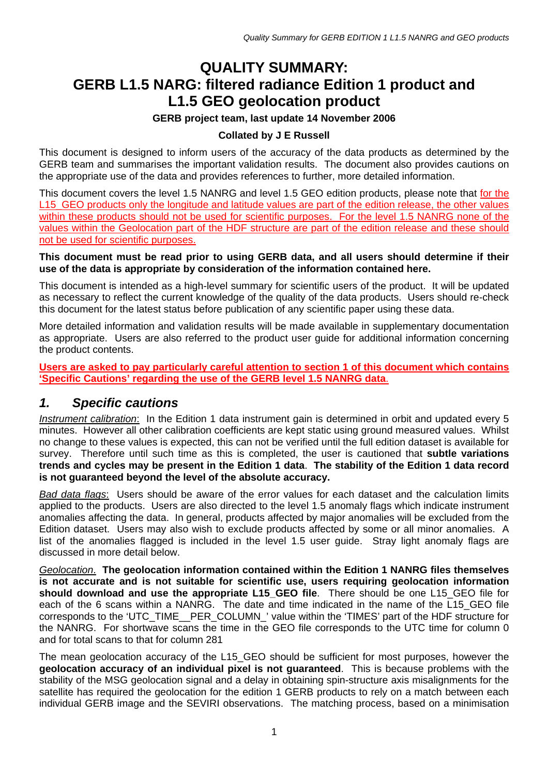# **QUALITY SUMMARY: GERB L1.5 NARG: filtered radiance Edition 1 product and L1.5 GEO geolocation product**

### **GERB project team, last update 14 November 2006**

### **Collated by J E Russell**

This document is designed to inform users of the accuracy of the data products as determined by the GERB team and summarises the important validation results. The document also provides cautions on the appropriate use of the data and provides references to further, more detailed information.

This document covers the level 1.5 NANRG and level 1.5 GEO edition products, please note that for the L15 GEO products only the longitude and latitude values are part of the edition release, the other values within these products should not be used for scientific purposes. For the level 1.5 NANRG none of the values within the Geolocation part of the HDF structure are part of the edition release and these should not be used for scientific purposes.

### **This document must be read prior to using GERB data, and all users should determine if their use of the data is appropriate by consideration of the information contained here.**

This document is intended as a high-level summary for scientific users of the product. It will be updated as necessary to reflect the current knowledge of the quality of the data products. Users should re-check this document for the latest status before publication of any scientific paper using these data.

More detailed information and validation results will be made available in supplementary documentation as appropriate. Users are also referred to the product user guide for additional information concerning the product contents.

### **Users are asked to pay particularly careful attention to section [1](#page-0-0) of this document which contains 'Specific Cautions' regarding the use of the GERB level 1.5 NANRG data**.

## <span id="page-0-0"></span>*1. Specific cautions*

*Instrument calibration*: In the Edition 1 data instrument gain is determined in orbit and updated every 5 minutes. However all other calibration coefficients are kept static using ground measured values. Whilst no change to these values is expected, this can not be verified until the full edition dataset is available for survey. Therefore until such time as this is completed, the user is cautioned that **subtle variations trends and cycles may be present in the Edition 1 data**. **The stability of the Edition 1 data record is not guaranteed beyond the level of the absolute accuracy.**

*Bad data flags*: Users should be aware of the error values for each dataset and the calculation limits applied to the products. Users are also directed to the level 1.5 anomaly flags which indicate instrument anomalies affecting the data. In general, products affected by major anomalies will be excluded from the Edition dataset. Users may also wish to exclude products affected by some or all minor anomalies. A list of the anomalies flagged is included in the level 1.5 user guide. Stray light anomaly flags are discussed in more detail below.

*Geolocation*. **The geolocation information contained within the Edition 1 NANRG files themselves is not accurate and is not suitable for scientific use, users requiring geolocation information should download and use the appropriate L15\_GEO file**. There should be one L15\_GEO file for each of the 6 scans within a NANRG. The date and time indicated in the name of the L15 GEO file corresponds to the 'UTC\_TIME\_\_PER\_COLUMN\_' value within the 'TIMES' part of the HDF structure for the NANRG. For shortwave scans the time in the GEO file corresponds to the UTC time for column 0 and for total scans to that for column 281

The mean geolocation accuracy of the L15 GEO should be sufficient for most purposes, however the **geolocation accuracy of an individual pixel is not guaranteed**. This is because problems with the stability of the MSG geolocation signal and a delay in obtaining spin-structure axis misalignments for the satellite has required the geolocation for the edition 1 GERB products to rely on a match between each individual GERB image and the SEVIRI observations. The matching process, based on a minimisation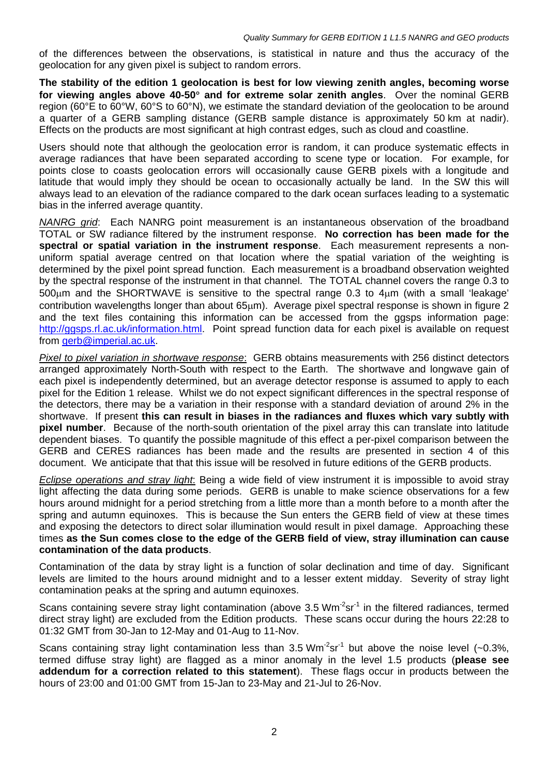of the differences between the observations, is statistical in nature and thus the accuracy of the geolocation for any given pixel is subject to random errors.

**The stability of the edition 1 geolocation is best for low viewing zenith angles, becoming worse for viewing angles above 40-50**° **and for extreme solar zenith angles**. Over the nominal GERB region (60°E to 60°W, 60°S to 60°N), we estimate the standard deviation of the geolocation to be around a quarter of a GERB sampling distance (GERB sample distance is approximately 50 km at nadir). Effects on the products are most significant at high contrast edges, such as cloud and coastline.

Users should note that although the geolocation error is random, it can produce systematic effects in average radiances that have been separated according to scene type or location. For example, for points close to coasts geolocation errors will occasionally cause GERB pixels with a longitude and latitude that would imply they should be ocean to occasionally actually be land. In the SW this will always lead to an elevation of the radiance compared to the dark ocean surfaces leading to a systematic bias in the inferred average quantity.

*NANRG grid*: Each NANRG point measurement is an instantaneous observation of the broadband TOTAL or SW radiance filtered by the instrument response. **No correction has been made for the spectral or spatial variation in the instrument response**. Each measurement represents a nonuniform spatial average centred on that location where the spatial variation of the weighting is determined by the pixel point spread function. Each measurement is a broadband observation weighted by the spectral response of the instrument in that channel. The TOTAL channel covers the range 0.3 to 500µm and the SHORTWAVE is sensitive to the spectral range 0.3 to 4µm (with a small 'leakage' contribution wavelengths longer than about 65µm). Average pixel spectral response is shown in figure 2 and the text files containing this information can be accessed from the ggsps information page: <http://ggsps.rl.ac.uk/information.html>. Point spread function data for each pixel is available on request from [gerb@imperial.ac.uk.](mailto:gerb@imperial.ac.uk)

*Pixel to pixel variation in shortwave response*: GERB obtains measurements with 256 distinct detectors arranged approximately North-South with respect to the Earth. The shortwave and longwave gain of each pixel is independently determined, but an average detector response is assumed to apply to each pixel for the Edition 1 release. Whilst we do not expect significant differences in the spectral response of the detectors, there may be a variation in their response with a standard deviation of around 2% in the shortwave. If present **this can result in biases in the radiances and fluxes which vary subtly with pixel number**. Because of the north-south orientation of the pixel array this can translate into latitude dependent biases. To quantify the possible magnitude of this effect a per-pixel comparison between the GERB and CERES radiances has been made and the results are presented in section [4](#page-7-0) of this document. We anticipate that that this issue will be resolved in future editions of the GERB products.

*Eclipse operations and stray light*: Being a wide field of view instrument it is impossible to avoid stray light affecting the data during some periods. GERB is unable to make science observations for a few hours around midnight for a period stretching from a little more than a month before to a month after the spring and autumn equinoxes. This is because the Sun enters the GERB field of view at these times and exposing the detectors to direct solar illumination would result in pixel damage. Approaching these times **as the Sun comes close to the edge of the GERB field of view, stray illumination can cause contamination of the data products**.

Contamination of the data by stray light is a function of solar declination and time of day. Significant levels are limited to the hours around midnight and to a lesser extent midday. Severity of stray light contamination peaks at the spring and autumn equinoxes.

Scans containing severe stray light contamination (above 3.5  $Wm^2sr^1$  in the filtered radiances, termed direct stray light) are excluded from the Edition products. These scans occur during the hours 22:28 to 01:32 GMT from 30-Jan to 12-May and 01-Aug to 11-Nov.

Scans containing stray light contamination less than 3.5 Wm<sup>-2</sup>sr<sup>-1</sup> but above the noise level (~0.3%, termed diffuse stray light) are flagged as a minor anomaly in the level 1.5 products (**please see addendum for a correction related to this statement**). These flags occur in products between the hours of 23:00 and 01:00 GMT from 15-Jan to 23-May and 21-Jul to 26-Nov.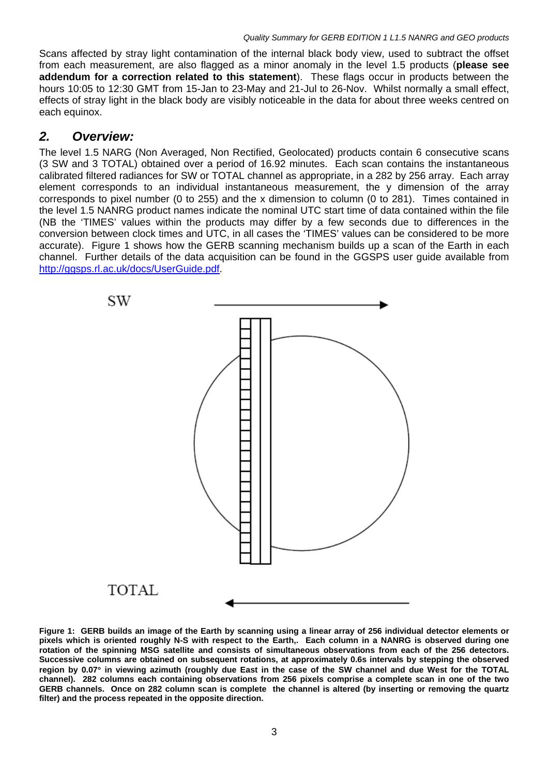Scans affected by stray light contamination of the internal black body view, used to subtract the offset from each measurement, are also flagged as a minor anomaly in the level 1.5 products (**please see addendum for a correction related to this statement**). These flags occur in products between the hours 10:05 to 12:30 GMT from 15-Jan to 23-May and 21-Jul to 26-Nov. Whilst normally a small effect, effects of stray light in the black body are visibly noticeable in the data for about three weeks centred on each equinox.

## *2. Overview:*

The level 1.5 NARG (Non Averaged, Non Rectified, Geolocated) products contain 6 consecutive scans (3 SW and 3 TOTAL) obtained over a period of 16.92 minutes. Each scan contains the instantaneous calibrated filtered radiances for SW or TOTAL channel as appropriate, in a 282 by 256 array. Each array element corresponds to an individual instantaneous measurement, the y dimension of the array corresponds to pixel number (0 to 255) and the x dimension to column (0 to 281). Times contained in the level 1.5 NANRG product names indicate the nominal UTC start time of data contained within the file (NB the 'TIMES' values within the products may differ by a few seconds due to differences in the conversion between clock times and UTC, in all cases the 'TIMES' values can be considered to be more accurate). Figure [1](#page-2-0) shows how the GERB scanning mechanism builds up a scan of the Earth in each channel. Further details of the data acquisition can be found in the GGSPS user guide available from <http://ggsps.rl.ac.uk/docs/UserGuide.pdf>.



<span id="page-2-0"></span>**Figure 1: GERB builds an image of the Earth by scanning using a linear array of 256 individual detector elements or pixels which is oriented roughly N-S with respect to the Earth,. Each column in a NANRG is observed during one rotation of the spinning MSG satellite and consists of simultaneous observations from each of the 256 detectors. Successive columns are obtained on subsequent rotations, at approximately 0.6s intervals by stepping the observed region by 0.07**° **in viewing azimuth (roughly due East in the case of the SW channel and due West for the TOTAL channel). 282 columns each containing observations from 256 pixels comprise a complete scan in one of the two GERB channels. Once on 282 column scan is complete the channel is altered (by inserting or removing the quartz filter) and the process repeated in the opposite direction.**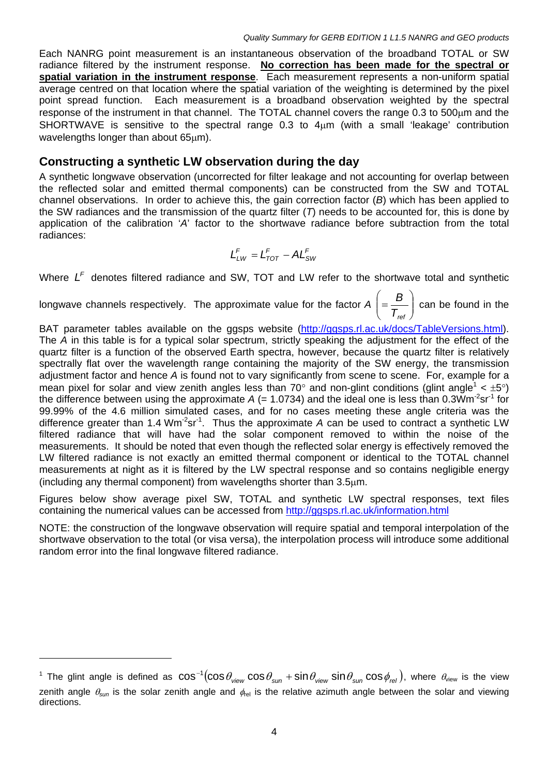Each NANRG point measurement is an instantaneous observation of the broadband TOTAL or SW radiance filtered by the instrument response. **No correction has been made for the spectral or spatial variation in the instrument response**. Each measurement represents a non-uniform spatial average centred on that location where the spatial variation of the weighting is determined by the pixel point spread function. Each measurement is a broadband observation weighted by the spectral response of the instrument in that channel. The TOTAL channel covers the range 0.3 to 500µm and the SHORTWAVE is sensitive to the spectral range 0.3 to  $4\mu$ m (with a small 'leakage' contribution wavelengths longer than about 65um).

### **Constructing a synthetic LW observation during the day**

A synthetic longwave observation (uncorrected for filter leakage and not accounting for overlap between the reflected solar and emitted thermal components) can be constructed from the SW and TOTAL channel observations. In order to achieve this, the gain correction factor (*B*) which has been applied to the SW radiances and the transmission of the quartz filter (*T*) needs to be accounted for, this is done by application of the calibration '*A*' factor to the shortwave radiance before subtraction from the total radiances:

$$
L_{LW}^F = L_{TOT}^F - AL_{SW}^F
$$

Where  $L^F$  denotes filtered radiance and SW, TOT and LW refer to the shortwave total and synthetic

longwave channels respectively. The approximate value for the factor  $A \Big| = \frac{B}{\mathcal{T}}$ ⎠ ⎞  $\overline{\phantom{a}}$ ⎝  $\sqrt{}$  $=\frac{B}{T_{\textit{ref}}}\bigg)$  can be found in the

BAT parameter tables available on the ggsps website ([http://ggsps.rl.ac.uk/docs/TableVersions.html\)](http://ggsps.rl.ac.uk/docs/TableVersions.html). The *A* in this table is for a typical solar spectrum, strictly speaking the adjustment for the effect of the quartz filter is a function of the observed Earth spectra, however, because the quartz filter is relatively spectrally flat over the wavelength range containing the majority of the SW energy, the transmission adjustment factor and hence *A* is found not to vary significantly from scene to scene. For, example for a mean pixel for solar and view zenith angles less than 70° and non-glint conditions (glint angle<sup>[1](#page-3-0)</sup> <  $\pm$ 5°) the difference between using the approximate  $A$  (= 1.0734) and the ideal one is less than 0.3Wm<sup>-2</sup>sr<sup>-1</sup> for 99.99% of the 4.6 million simulated cases, and for no cases meeting these angle criteria was the difference greater than 1.4 Wm<sup>-2</sup>sr<sup>-1</sup>. Thus the approximate A can be used to contract a synthetic LW filtered radiance that will have had the solar component removed to within the noise of the measurements. It should be noted that even though the reflected solar energy is effectively removed the LW filtered radiance is not exactly an emitted thermal component or identical to the TOTAL channel measurements at night as it is filtered by the LW spectral response and so contains negligible energy (including any thermal component) from wavelengths shorter than 3.5µm.

Figures below show average pixel SW, TOTAL and synthetic LW spectral responses, text files containing the numerical values can be accessed from <http://ggsps.rl.ac.uk/information.html>

NOTE: the construction of the longwave observation will require spatial and temporal interpolation of the shortwave observation to the total (or visa versa), the interpolation process will introduce some additional random error into the final longwave filtered radiance.

 $\overline{a}$ 

<span id="page-3-0"></span> $^1$  The glint angle is defined as  $\cos^{-1}(\cos\theta_{\sf view}\cos\theta_{\sf sun}+\sin\theta_{\sf view}\sin\theta_{\sf sun}\cos\phi_{\sf rel}),$  where  $\theta_{\sf view}$  is the view zenith angle  $\theta_{sun}$  is the solar zenith angle and  $\phi_{rel}$  is the relative azimuth angle between the solar and viewing directions.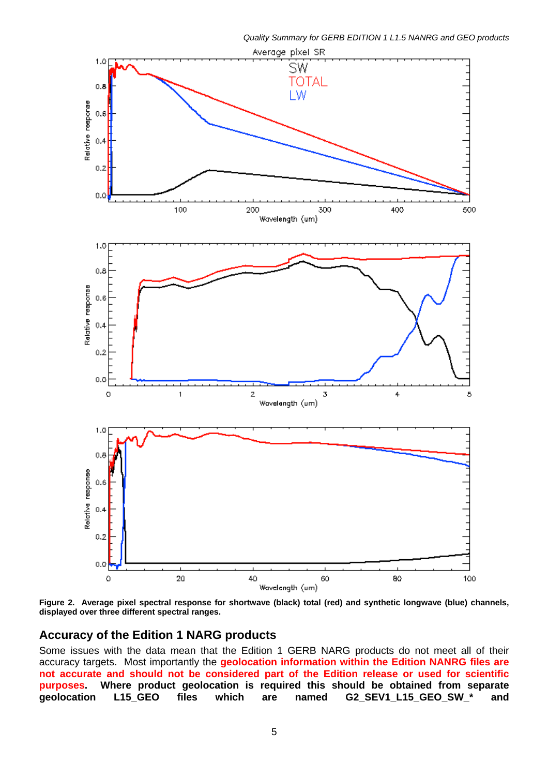

<span id="page-4-0"></span>**Figure 2. Average pixel spectral response for shortwave (black) total (red) and synthetic longwave (blue) channels, displayed over three different spectral ranges.** 

### **Accuracy of the Edition 1 NARG products**

Some issues with the data mean that the Edition 1 GERB NARG products do not meet all of their accuracy targets. Most importantly the **geolocation information within the Edition NANRG files are not accurate and should not be considered part of the Edition release or used for scientific purposes. Where product geolocation is required this should be obtained from separate geolocation L15\_GEO files which are named G2\_SEV1\_L15\_GEO\_SW\_\* and**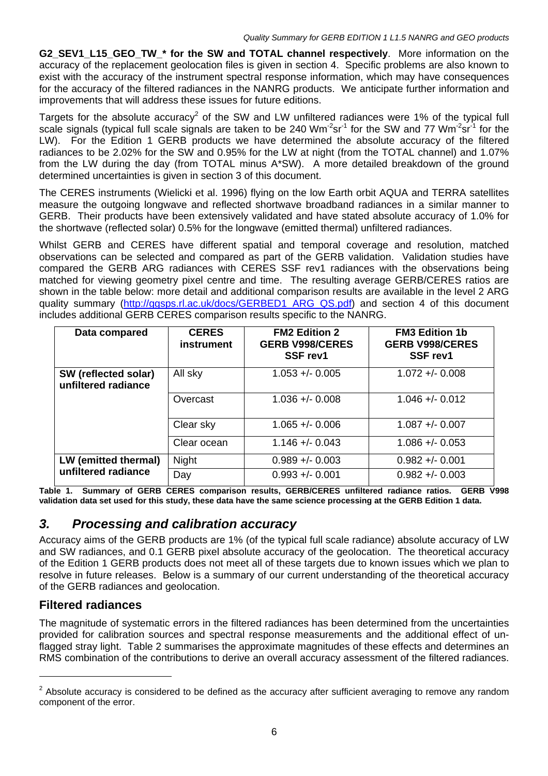**G2\_SEV1\_L15\_GEO\_TW\_\* for the SW and TOTAL channel respectively**. More information on the accuracy of the replacement geolocation files is given in section [4.](#page-7-0) Specific problems are also known to exist with the accuracy of the instrument spectral response information, which may have consequences for the accuracy of the filtered radiances in the NANRG products. We anticipate further information and improvements that will address these issues for future editions.

Targets for the absolute accuracy<sup>[2](#page-5-1)</sup> of the SW and LW unfiltered radiances were 1% of the typical full scale signals (typical full scale signals are taken to be 240 Wm<sup>-2</sup>sr<sup>-1</sup> for the SW and 77 Wm<sup>-2</sup>sr<sup>-1</sup> for the LW). For the Edition 1 GERB products we have determined the absolute accuracy of the filtered radiances to be 2.02% for the SW and 0.95% for the LW at night (from the TOTAL channel) and 1.07% from the LW during the day (from TOTAL minus A\*SW). A more detailed breakdown of the ground determined uncertainties is given in section [3](#page-5-0) of this document.

The CERES instruments (Wielicki et al. 1996) flying on the low Earth orbit AQUA and TERRA satellites measure the outgoing longwave and reflected shortwave broadband radiances in a similar manner to GERB. Their products have been extensively validated and have stated absolute accuracy of 1.0% for the shortwave (reflected solar) 0.5% for the longwave (emitted thermal) unfiltered radiances.

Whilst GERB and CERES have different spatial and temporal coverage and resolution, matched observations can be selected and compared as part of the GERB validation. Validation studies have compared the GERB ARG radiances with CERES SSF rev1 radiances with the observations being matched for viewing geometry pixel centre and time. The resulting average GERB/CERES ratios are shown in the table below: more detail and additional comparison results are available in the level 2 ARG quality summary [\(http://ggsps.rl.ac.uk/docs/GERBED1\\_ARG\\_QS.pdf\)](http://ggsps.rl.ac.uk/docs/GERBED1_ARG_QS.pdf) and section [4](#page-7-0) of this document includes additional GERB CERES comparison results specific to the NANRG.

| Data compared                               | <b>CERES</b><br>instrument | <b>FM2 Edition 2</b><br><b>GERB V998/CERES</b><br>SSF rev1 | <b>FM3 Edition 1b</b><br><b>GERB V998/CERES</b><br>SSF rev1 |
|---------------------------------------------|----------------------------|------------------------------------------------------------|-------------------------------------------------------------|
| SW (reflected solar)<br>unfiltered radiance | All sky                    | $1.053 + 0.005$                                            | $1.072 + - 0.008$                                           |
|                                             | Overcast                   | $1.036 + -0.008$                                           | $1.046 + - 0.012$                                           |
|                                             | Clear sky                  | $1.065 + - 0.006$                                          | $1.087 + - 0.007$                                           |
|                                             | Clear ocean                | $1.146 + - 0.043$                                          | $1.086 + - 0.053$                                           |
| LW (emitted thermal)<br>unfiltered radiance | Night                      | $0.989 + - 0.003$                                          | $0.982 + 0.001$                                             |
|                                             | Day                        | $0.993 + 0.001$                                            | $0.982 + 0.003$                                             |

<span id="page-5-2"></span>**Table 1. Summary of GERB CERES comparison results, GERB/CERES unfiltered radiance ratios. GERB V998 validation data set used for this study, these data have the same science processing at the GERB Edition 1 data.** 

## <span id="page-5-0"></span>*3. Processing and calibration accuracy*

Accuracy aims of the GERB products are 1% (of the typical full scale radiance) absolute accuracy of LW and SW radiances, and 0.1 GERB pixel absolute accuracy of the geolocation. The theoretical accuracy of the Edition 1 GERB products does not meet all of these targets due to known issues which we plan to resolve in future releases. Below is a summary of our current understanding of the theoretical accuracy of the GERB radiances and geolocation.

### **Filtered radiances**

The magnitude of systematic errors in the filtered radiances has been determined from the uncertainties provided for calibration sources and spectral response measurements and the additional effect of unflagged stray light. Table [2](#page-6-0) summarises the approximate magnitudes of these effects and determines an RMS combination of the contributions to derive an overall accuracy assessment of the filtered radiances.

<span id="page-5-1"></span> $2$  Absolute accuracy is considered to be defined as the accuracy after sufficient averaging to remove any random component of the error.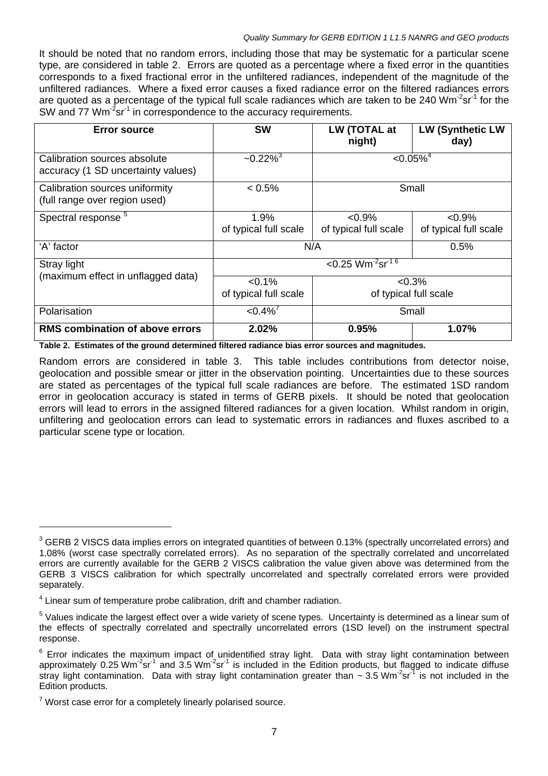#### *Quality Summary for GERB EDITION 1 L1.5 NANRG and GEO products*

It should be noted that no random errors, including those that may be systematic for a particular scene type, are considered in table [2.](#page-6-0) Errors are quoted as a percentage where a fixed error in the quantities corresponds to a fixed fractional error in the unfiltered radiances, independent of the magnitude of the unfiltered radiances. Where a fixed error causes a fixed radiance error on the filtered radiances errors are quoted as a percentage of the typical full scale radiances which are taken to be 240 Wm<sup>-2</sup>sr<sup>-1</sup> for the SW and 77 Wm<sup>-2</sup>sr<sup>-1</sup> in correspondence to the accuracy requirements.

| <b>Error source</b>                                                | <b>SW</b>                                   | LW (TOTAL at<br>night)             | <b>LW (Synthetic LW</b><br>day)    |  |
|--------------------------------------------------------------------|---------------------------------------------|------------------------------------|------------------------------------|--|
| Calibration sources absolute<br>accuracy (1 SD uncertainty values) | $-0.22\%$ <sup>3</sup>                      | $< 0.05\%$ <sup>4</sup>            |                                    |  |
| Calibration sources uniformity<br>(full range over region used)    | $< 0.5\%$                                   | Small                              |                                    |  |
| Spectral response <sup>5</sup>                                     | 1.9%<br>of typical full scale               | $< 0.9\%$<br>of typical full scale | $< 0.9\%$<br>of typical full scale |  |
| 'A' factor                                                         | N/A                                         |                                    | 0.5%                               |  |
| Stray light                                                        | $< 0.25$ Wm <sup>-2</sup> sr <sup>-16</sup> |                                    |                                    |  |
| (maximum effect in unflagged data)                                 | $< 0.1\%$<br>of typical full scale          | $< 0.3\%$<br>of typical full scale |                                    |  |
| Polarisation                                                       | $< 0.4\%$ <sup>7</sup><br>Small             |                                    |                                    |  |
| <b>RMS combination of above errors</b>                             | 2.02%                                       | 0.95%                              | 1.07%                              |  |

<span id="page-6-0"></span>**Table 2. Estimates of the ground determined filtered radiance bias error sources and magnitudes.** 

Random errors are considered in table [3.](#page-7-1) This table includes contributions from detector noise, geolocation and possible smear or jitter in the observation pointing. Uncertainties due to these sources are stated as percentages of the typical full scale radiances are before. The estimated 1SD random error in geolocation accuracy is stated in terms of GERB pixels. It should be noted that geolocation errors will lead to errors in the assigned filtered radiances for a given location. Whilst random in origin, unfiltering and geolocation errors can lead to systematic errors in radiances and fluxes ascribed to a particular scene type or location.

<span id="page-6-1"></span> $3$  GERB 2 VISCS data implies errors on integrated quantities of between 0.13% (spectrally uncorrelated errors) and 1.08% (worst case spectrally correlated errors). As no separation of the spectrally correlated and uncorrelated errors are currently available for the GERB 2 VISCS calibration the value given above was determined from the GERB 3 VISCS calibration for which spectrally uncorrelated and spectrally correlated errors were provided separately.

<span id="page-6-2"></span><sup>&</sup>lt;sup>4</sup> Linear sum of temperature probe calibration, drift and chamber radiation.

<span id="page-6-3"></span><sup>&</sup>lt;sup>5</sup> Values indicate the largest effect over a wide variety of scene types. Uncertainty is determined as a linear sum of the effects of spectrally correlated and spectrally uncorrelated errors (1SD level) on the instrument spectral response.

<span id="page-6-4"></span> $6$  Error indicates the maximum impact of unidentified stray light. Data with stray light contamination between approximately 0.25 Wm<sup>-2</sup>sr<sup>-1</sup> and 3.5 Wm<sup>-2</sup>sr<sup>-1</sup> is included in the Edition products, but flagged to indicate diffuse stray light contamination. Data with stray light contamination greater than  $\sim 3.5$  Wm<sup>-2</sup>sr<sup>-1</sup> is not included in the Edition products.

<span id="page-6-5"></span> $7$  Worst case error for a completely linearly polarised source.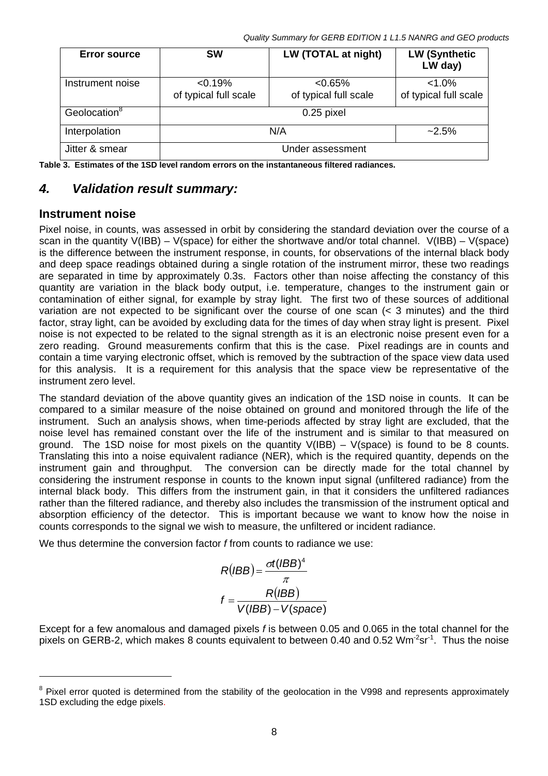*Quality Summary for GERB EDITION 1 L1.5 NANRG and GEO products* 

| <b>Error source</b>      | <b>SW</b>                           | LW (TOTAL at night)                 | <b>LW (Synthetic</b><br>LW day)    |  |
|--------------------------|-------------------------------------|-------------------------------------|------------------------------------|--|
| Instrument noise         | $< 0.19\%$<br>of typical full scale | $< 0.65\%$<br>of typical full scale | $< 1.0\%$<br>of typical full scale |  |
| Geolocation <sup>8</sup> | 0.25 pixel                          |                                     |                                    |  |
| Interpolation            | N/A                                 |                                     | $-2.5\%$                           |  |
| Jitter & smear           | Under assessment                    |                                     |                                    |  |

<span id="page-7-1"></span>**Table 3. Estimates of the 1SD level random errors on the instantaneous filtered radiances.** 

# <span id="page-7-0"></span>*4. Validation result summary:*

### **Instrument noise**

Pixel noise, in counts, was assessed in orbit by considering the standard deviation over the course of a scan in the quantity V(IBB) – V(space) for either the shortwave and/or total channel. V(IBB) – V(space) is the difference between the instrument response, in counts, for observations of the internal black body and deep space readings obtained during a single rotation of the instrument mirror, these two readings are separated in time by approximately 0.3s. Factors other than noise affecting the constancy of this quantity are variation in the black body output, i.e. temperature, changes to the instrument gain or contamination of either signal, for example by stray light. The first two of these sources of additional variation are not expected to be significant over the course of one scan (< 3 minutes) and the third factor, stray light, can be avoided by excluding data for the times of day when stray light is present. Pixel noise is not expected to be related to the signal strength as it is an electronic noise present even for a zero reading. Ground measurements confirm that this is the case. Pixel readings are in counts and contain a time varying electronic offset, which is removed by the subtraction of the space view data used for this analysis. It is a requirement for this analysis that the space view be representative of the instrument zero level.

The standard deviation of the above quantity gives an indication of the 1SD noise in counts. It can be compared to a similar measure of the noise obtained on ground and monitored through the life of the instrument. Such an analysis shows, when time-periods affected by stray light are excluded, that the noise level has remained constant over the life of the instrument and is similar to that measured on ground. The 1SD noise for most pixels on the quantity  $V(IBB) - V(space)$  is found to be 8 counts. Translating this into a noise equivalent radiance (NER), which is the required quantity, depends on the instrument gain and throughput. The conversion can be directly made for the total channel by considering the instrument response in counts to the known input signal (unfiltered radiance) from the internal black body. This differs from the instrument gain, in that it considers the unfiltered radiances rather than the filtered radiance, and thereby also includes the transmission of the instrument optical and absorption efficiency of the detector. This is important because we want to know how the noise in counts corresponds to the signal we wish to measure, the unfiltered or incident radiance.

We thus determine the conversion factor *f* from counts to radiance we use:

$$
R(BB) = \frac{\sigma t (IBB)^{4}}{\pi}
$$

$$
f = \frac{R(BB)}{V(BB) - V(space)}
$$

Except for a few anomalous and damaged pixels *f* is between 0.05 and 0.065 in the total channel for the pixels on GERB-2, which makes 8 counts equivalent to between 0.40 and 0.52 Wm<sup>-2</sup>sr<sup>-1</sup>. Thus the noise

<span id="page-7-2"></span><sup>&</sup>lt;sup>8</sup> Pixel error quoted is determined from the stability of the geolocation in the V998 and represents approximately 1SD excluding the edge pixels.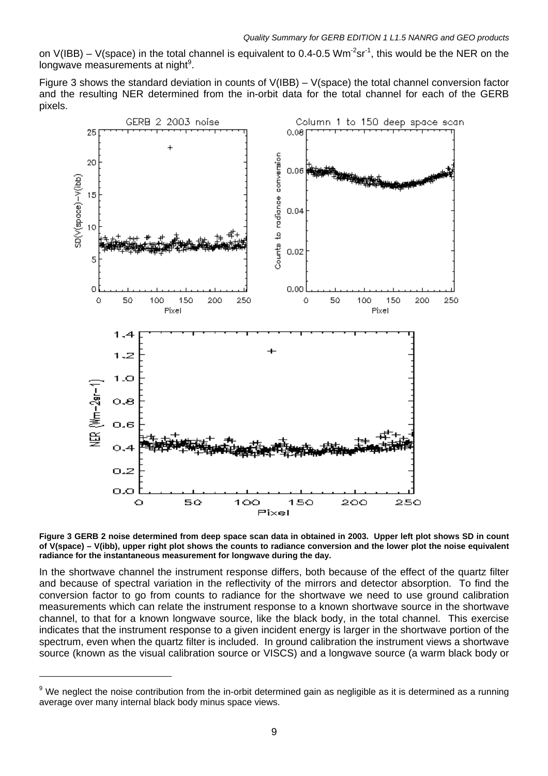on V(IBB) – V(space) in the total channel is equivalent to 0.4-0.5 Wm<sup>-2</sup>sr<sup>-1</sup>, this would be the NER on the longwave measurements at night<sup>[9](#page-8-1)</sup>.

Figure [3](#page-8-0) shows the standard deviation in counts of V(IBB) – V(space) the total channel conversion factor and the resulting NER determined from the in-orbit data for the total channel for each of the GERB pixels.



<span id="page-8-0"></span>

In the shortwave channel the instrument response differs, both because of the effect of the quartz filter and because of spectral variation in the reflectivity of the mirrors and detector absorption. To find the conversion factor to go from counts to radiance for the shortwave we need to use ground calibration measurements which can relate the instrument response to a known shortwave source in the shortwave channel, to that for a known longwave source, like the black body, in the total channel. This exercise indicates that the instrument response to a given incident energy is larger in the shortwave portion of the spectrum, even when the quartz filter is included. In ground calibration the instrument views a shortwave source (known as the visual calibration source or VISCS) and a longwave source (a warm black body or

<span id="page-8-1"></span><sup>&</sup>lt;sup>9</sup> We neglect the noise contribution from the in-orbit determined gain as negligible as it is determined as a running average over many internal black body minus space views.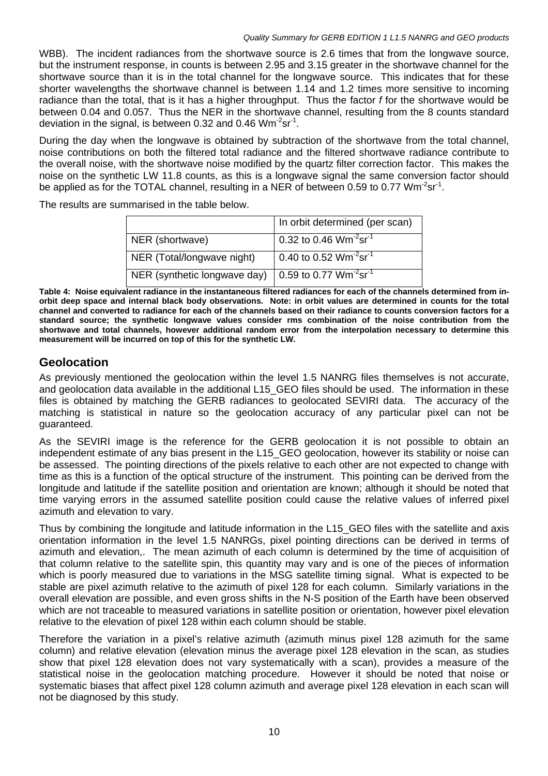WBB). The incident radiances from the shortwave source is 2.6 times that from the longwave source, but the instrument response, in counts is between 2.95 and 3.15 greater in the shortwave channel for the shortwave source than it is in the total channel for the longwave source. This indicates that for these shorter wavelengths the shortwave channel is between 1.14 and 1.2 times more sensitive to incoming radiance than the total, that is it has a higher throughput. Thus the factor *f* for the shortwave would be between 0.04 and 0.057. Thus the NER in the shortwave channel, resulting from the 8 counts standard deviation in the signal, is between 0.32 and 0.46  $Wm<sup>-2</sup>sr<sup>-1</sup>$ .

During the day when the longwave is obtained by subtraction of the shortwave from the total channel, noise contributions on both the filtered total radiance and the filtered shortwave radiance contribute to the overall noise, with the shortwave noise modified by the quartz filter correction factor. This makes the noise on the synthetic LW 11.8 counts, as this is a longwave signal the same conversion factor should be applied as for the TOTAL channel, resulting in a NER of between 0.59 to 0.77 Wm<sup>-2</sup>sr<sup>-1</sup>.

The results are summarised in the table below.

|                              | In orbit determined (per scan)                 |
|------------------------------|------------------------------------------------|
| NER (shortwave)              | 0.32 to 0.46 $Wm^{-2}sr^{-1}$                  |
| NER (Total/longwave night)   | 0.40 to 0.52 $Wm^{-2}sr^{-1}$                  |
| NER (synthetic longwave day) | 0.59 to 0.77 Wm <sup>-2</sup> sr <sup>-1</sup> |

**Table 4: Noise equivalent radiance in the instantaneous filtered radiances for each of the channels determined from inorbit deep space and internal black body observations. Note: in orbit values are determined in counts for the total channel and converted to radiance for each of the channels based on their radiance to counts conversion factors for a standard source; the synthetic longwave values consider rms combination of the noise contribution from the shortwave and total channels, however additional random error from the interpolation necessary to determine this measurement will be incurred on top of this for the synthetic LW.** 

## **Geolocation**

As previously mentioned the geolocation within the level 1.5 NANRG files themselves is not accurate, and geolocation data available in the additional L15 GEO files should be used. The information in these files is obtained by matching the GERB radiances to geolocated SEVIRI data. The accuracy of the matching is statistical in nature so the geolocation accuracy of any particular pixel can not be guaranteed.

As the SEVIRI image is the reference for the GERB geolocation it is not possible to obtain an independent estimate of any bias present in the L15\_GEO geolocation, however its stability or noise can be assessed. The pointing directions of the pixels relative to each other are not expected to change with time as this is a function of the optical structure of the instrument. This pointing can be derived from the longitude and latitude if the satellite position and orientation are known; although it should be noted that time varying errors in the assumed satellite position could cause the relative values of inferred pixel azimuth and elevation to vary.

Thus by combining the longitude and latitude information in the L15\_GEO files with the satellite and axis orientation information in the level 1.5 NANRGs, pixel pointing directions can be derived in terms of azimuth and elevation,. The mean azimuth of each column is determined by the time of acquisition of that column relative to the satellite spin, this quantity may vary and is one of the pieces of information which is poorly measured due to variations in the MSG satellite timing signal. What is expected to be stable are pixel azimuth relative to the azimuth of pixel 128 for each column. Similarly variations in the overall elevation are possible, and even gross shifts in the N-S position of the Earth have been observed which are not traceable to measured variations in satellite position or orientation, however pixel elevation relative to the elevation of pixel 128 within each column should be stable.

Therefore the variation in a pixel's relative azimuth (azimuth minus pixel 128 azimuth for the same column) and relative elevation (elevation minus the average pixel 128 elevation in the scan, as studies show that pixel 128 elevation does not vary systematically with a scan), provides a measure of the statistical noise in the geolocation matching procedure. However it should be noted that noise or systematic biases that affect pixel 128 column azimuth and average pixel 128 elevation in each scan will not be diagnosed by this study.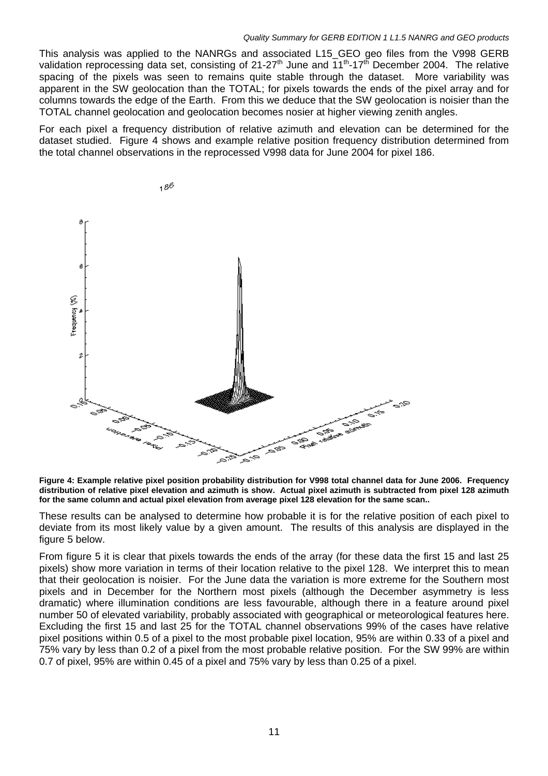#### *Quality Summary for GERB EDITION 1 L1.5 NANRG and GEO products*

This analysis was applied to the NANRGs and associated L15\_GEO geo files from the V998 GERB validation reprocessing data set, consisting of 21-27<sup>th</sup> June and 11<sup>th</sup>-17<sup>th</sup> December 2004. The relative spacing of the pixels was seen to remains quite stable through the dataset. More variability was apparent in the SW geolocation than the TOTAL; for pixels towards the ends of the pixel array and for columns towards the edge of the Earth. From this we deduce that the SW geolocation is noisier than the TOTAL channel geolocation and geolocation becomes nosier at higher viewing zenith angles.

For each pixel a frequency distribution of relative azimuth and elevation can be determined for the dataset studied. Figure [4](#page-10-0) shows and example relative position frequency distribution determined from the total channel observations in the reprocessed V998 data for June 2004 for pixel 186.



<span id="page-10-0"></span>**Figure 4: Example relative pixel position probability distribution for V998 total channel data for June 2006. Frequency distribution of relative pixel elevation and azimuth is show. Actual pixel azimuth is subtracted from pixel 128 azimuth for the same column and actual pixel elevation from average pixel 128 elevation for the same scan..** 

These results can be analysed to determine how probable it is for the relative position of each pixel to deviate from its most likely value by a given amount. The results of this analysis are displayed in the figure [5](#page-11-0) below.

From figure [5](#page-11-0) it is clear that pixels towards the ends of the array (for these data the first 15 and last 25 pixels) show more variation in terms of their location relative to the pixel 128. We interpret this to mean that their geolocation is noisier. For the June data the variation is more extreme for the Southern most pixels and in December for the Northern most pixels (although the December asymmetry is less dramatic) where illumination conditions are less favourable, although there in a feature around pixel number 50 of elevated variability, probably associated with geographical or meteorological features here. Excluding the first 15 and last 25 for the TOTAL channel observations 99% of the cases have relative pixel positions within 0.5 of a pixel to the most probable pixel location, 95% are within 0.33 of a pixel and 75% vary by less than 0.2 of a pixel from the most probable relative position. For the SW 99% are within 0.7 of pixel, 95% are within 0.45 of a pixel and 75% vary by less than 0.25 of a pixel.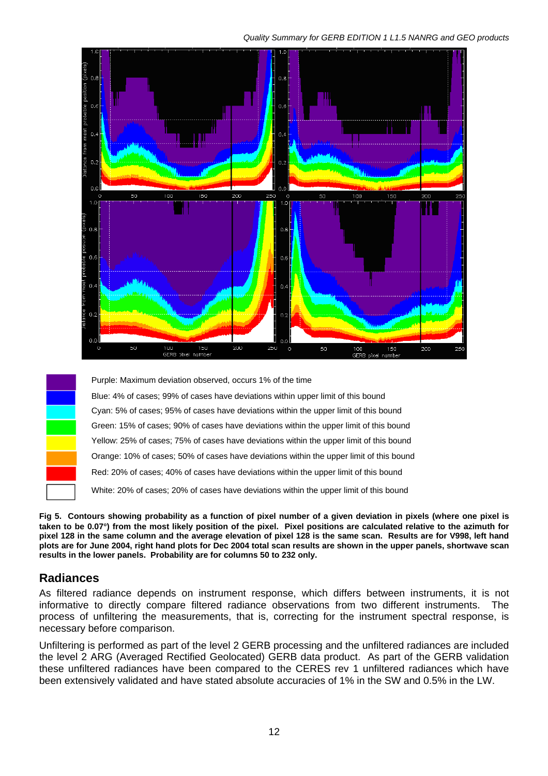

Purple: Maximum deviation observed, occurs 1% of the time

Blue: 4% of cases; 99% of cases have deviations within upper limit of this bound Cyan: 5% of cases; 95% of cases have deviations within the upper limit of this bound Green: 15% of cases; 90% of cases have deviations within the upper limit of this bound Yellow: 25% of cases; 75% of cases have deviations within the upper limit of this bound Orange: 10% of cases; 50% of cases have deviations within the upper limit of this bound Red: 20% of cases; 40% of cases have deviations within the upper limit of this bound White: 20% of cases; 20% of cases have deviations within the upper limit of this bound

<span id="page-11-0"></span>**Fig 5. Contours showing probability as a function of pixel number of a given deviation in pixels (where one pixel is taken to be 0.07**°**) from the most likely position of the pixel. Pixel positions are calculated relative to the azimuth for pixel 128 in the same column and the average elevation of pixel 128 is the same scan. Results are for V998, left hand plots are for June 2004, right hand plots for Dec 2004 total scan results are shown in the upper panels, shortwave scan results in the lower panels. Probability are for columns 50 to 232 only.**

# **Radiances**

As filtered radiance depends on instrument response, which differs between instruments, it is not informative to directly compare filtered radiance observations from two different instruments. The process of unfiltering the measurements, that is, correcting for the instrument spectral response, is necessary before comparison.

Unfiltering is performed as part of the level 2 GERB processing and the unfiltered radiances are included the level 2 ARG (Averaged Rectified Geolocated) GERB data product. As part of the GERB validation these unfiltered radiances have been compared to the CERES rev 1 unfiltered radiances which have been extensively validated and have stated absolute accuracies of 1% in the SW and 0.5% in the LW.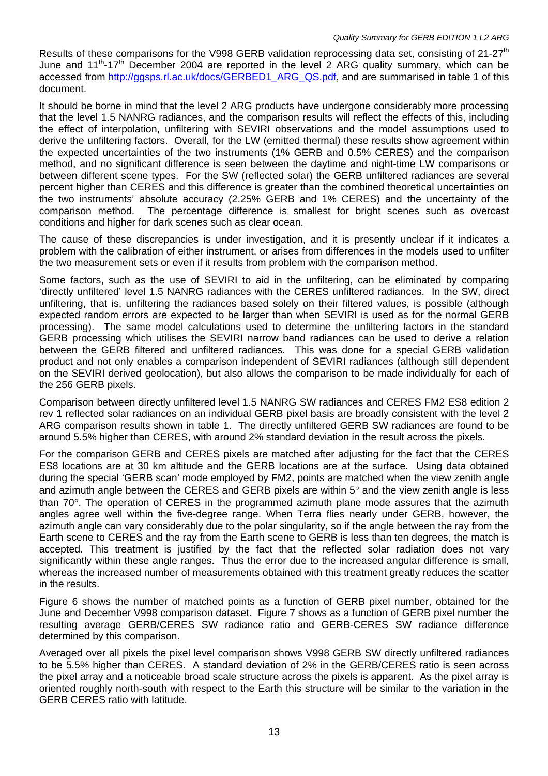Results of these comparisons for the V998 GERB validation reprocessing data set, consisting of 21-27<sup>th</sup> June and  $11^{th}$ -17<sup>th</sup> December 2004 are reported in the level 2 ARG quality summary, which can be accessed from [http://ggsps.rl.ac.uk/docs/GERBED1\\_ARG\\_QS.pdf](http://ggsps.rl.ac.uk/docs/GERBED1_ARG_QS.pdf), and are summarised in table [1](#page-5-2) of this document.

It should be borne in mind that the level 2 ARG products have undergone considerably more processing that the level 1.5 NANRG radiances, and the comparison results will reflect the effects of this, including the effect of interpolation, unfiltering with SEVIRI observations and the model assumptions used to derive the unfiltering factors. Overall, for the LW (emitted thermal) these results show agreement within the expected uncertainties of the two instruments (1% GERB and 0.5% CERES) and the comparison method, and no significant difference is seen between the daytime and night-time LW comparisons or between different scene types. For the SW (reflected solar) the GERB unfiltered radiances are several percent higher than CERES and this difference is greater than the combined theoretical uncertainties on the two instruments' absolute accuracy (2.25% GERB and 1% CERES) and the uncertainty of the comparison method. The percentage difference is smallest for bright scenes such as overcast conditions and higher for dark scenes such as clear ocean.

The cause of these discrepancies is under investigation, and it is presently unclear if it indicates a problem with the calibration of either instrument, or arises from differences in the models used to unfilter the two measurement sets or even if it results from problem with the comparison method.

Some factors, such as the use of SEVIRI to aid in the unfiltering, can be eliminated by comparing 'directly unfiltered' level 1.5 NANRG radiances with the CERES unfiltered radiances. In the SW, direct unfiltering, that is, unfiltering the radiances based solely on their filtered values, is possible (although expected random errors are expected to be larger than when SEVIRI is used as for the normal GERB processing). The same model calculations used to determine the unfiltering factors in the standard GERB processing which utilises the SEVIRI narrow band radiances can be used to derive a relation between the GERB filtered and unfiltered radiances. This was done for a special GERB validation product and not only enables a comparison independent of SEVIRI radiances (although still dependent on the SEVIRI derived geolocation), but also allows the comparison to be made individually for each of the 256 GERB pixels.

Comparison between directly unfiltered level 1.5 NANRG SW radiances and CERES FM2 ES8 edition 2 rev 1 reflected solar radiances on an individual GERB pixel basis are broadly consistent with the level 2 ARG comparison results shown in table [1.](#page-5-2) The directly unfiltered GERB SW radiances are found to be around 5.5% higher than CERES, with around 2% standard deviation in the result across the pixels.

For the comparison GERB and CERES pixels are matched after adjusting for the fact that the CERES ES8 locations are at 30 km altitude and the GERB locations are at the surface. Using data obtained during the special 'GERB scan' mode employed by FM2, points are matched when the view zenith angle and azimuth angle between the CERES and GERB pixels are within 5° and the view zenith angle is less than 70°. The operation of CERES in the programmed azimuth plane mode assures that the azimuth angles agree well within the five-degree range. When Terra flies nearly under GERB, however, the azimuth angle can vary considerably due to the polar singularity, so if the angle between the ray from the Earth scene to CERES and the ray from the Earth scene to GERB is less than ten degrees, the match is accepted. This treatment is justified by the fact that the reflected solar radiation does not vary significantly within these angle ranges. Thus the error due to the increased angular difference is small, whereas the increased number of measurements obtained with this treatment greatly reduces the scatter in the results.

Figure [6](#page-13-0) shows the number of matched points as a function of GERB pixel number, obtained for the June and December V998 comparison dataset. Figure [7](#page-13-1) shows as a function of GERB pixel number the resulting average GERB/CERES SW radiance ratio and GERB-CERES SW radiance difference determined by this comparison.

Averaged over all pixels the pixel level comparison shows V998 GERB SW directly unfiltered radiances to be 5.5% higher than CERES. A standard deviation of 2% in the GERB/CERES ratio is seen across the pixel array and a noticeable broad scale structure across the pixels is apparent. As the pixel array is oriented roughly north-south with respect to the Earth this structure will be similar to the variation in the GERB CERES ratio with latitude.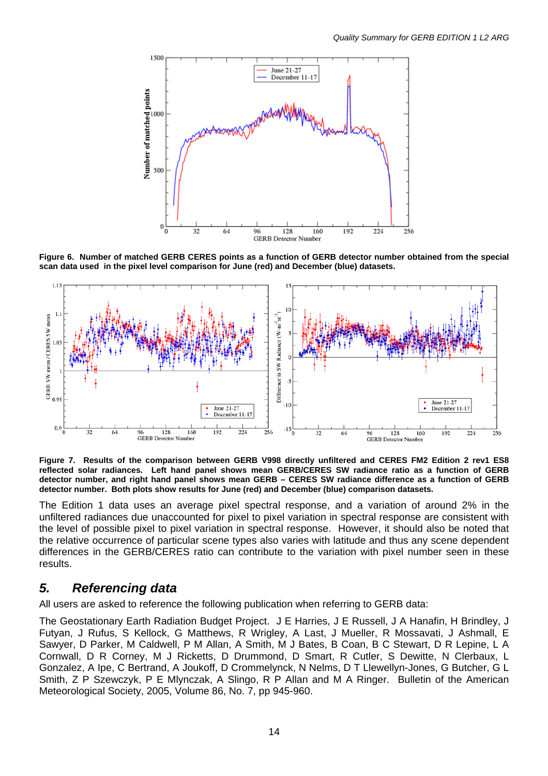

<span id="page-13-0"></span>**Figure 6. Number of matched GERB CERES points as a function of GERB detector number obtained from the special scan data used in the pixel level comparison for June (red) and December (blue) datasets.** 



<span id="page-13-1"></span>**Figure 7. Results of the comparison between GERB V998 directly unfiltered and CERES FM2 Edition 2 rev1 ES8 reflected solar radiances. Left hand panel shows mean GERB/CERES SW radiance ratio as a function of GERB detector number, and right hand panel shows mean GERB – CERES SW radiance difference as a function of GERB detector number. Both plots show results for June (red) and December (blue) comparison datasets.** 

The Edition 1 data uses an average pixel spectral response, and a variation of around 2% in the unfiltered radiances due unaccounted for pixel to pixel variation in spectral response are consistent with the level of possible pixel to pixel variation in spectral response. However, it should also be noted that the relative occurrence of particular scene types also varies with latitude and thus any scene dependent differences in the GERB/CERES ratio can contribute to the variation with pixel number seen in these results.

## *5. Referencing data*

All users are asked to reference the following publication when referring to GERB data:

The Geostationary Earth Radiation Budget Project. J E Harries, J E Russell, J A Hanafin, H Brindley, J Futyan, J Rufus, S Kellock, G Matthews, R Wrigley, A Last, J Mueller, R Mossavati, J Ashmall, E Sawyer, D Parker, M Caldwell, P M Allan, A Smith, M J Bates, B Coan, B C Stewart, D R Lepine, L A Cornwall, D R Corney, M J Ricketts, D Drummond, D Smart, R Cutler, S Dewitte, N Clerbaux, L Gonzalez, A Ipe, C Bertrand, A Joukoff, D Crommelynck, N Nelms, D T Llewellyn-Jones, G Butcher, G L Smith, Z P Szewczyk, P E Mlynczak, A Slingo, R P Allan and M A Ringer. Bulletin of the American Meteorological Society, 2005, Volume 86, No. 7, pp 945-960.